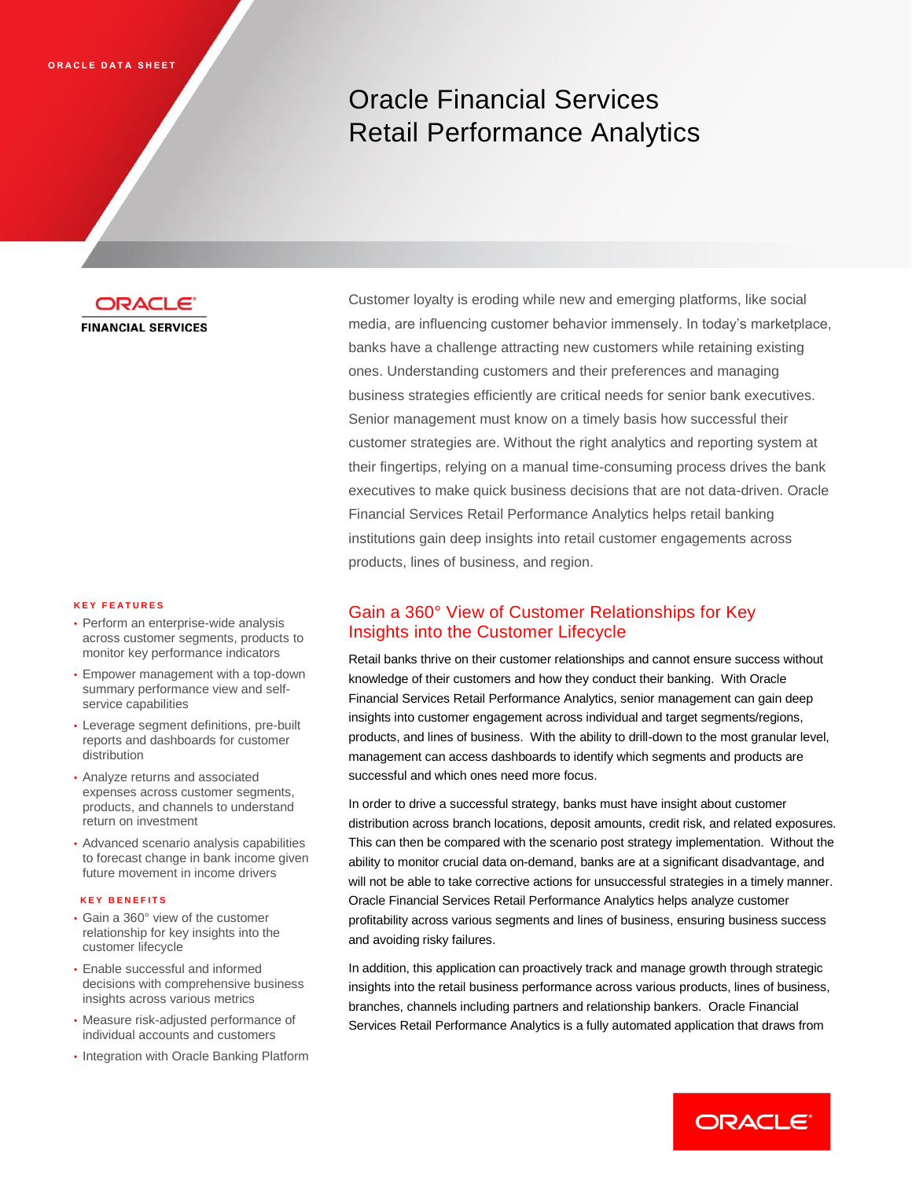# Oracle Financial Services Retail Performance Analytics



#### **K E Y F E A T U R E S**

- Perform an enterprise-wide analysis across customer segments, products to monitor key performance indicators
- Empower management with a top-down summary performance view and selfservice capabilities
- Leverage segment definitions, pre-built reports and dashboards for customer distribution
- Analyze returns and associated expenses across customer segments, products, and channels to understand return on investment
- Advanced scenario analysis capabilities to forecast change in bank income given future movement in income drivers

#### **K E Y B E N E F I T S**

- Gain a 360° view of the customer relationship for key insights into the customer lifecycle
- Enable successful and informed decisions with comprehensive business insights across various metrics
- Measure risk-adjusted performance of individual accounts and customers
- Integration with Oracle Banking Platform

Customer loyalty is eroding while new and emerging platforms, like social media, are influencing customer behavior immensely. In today's marketplace, banks have a challenge attracting new customers while retaining existing ones. Understanding customers and their preferences and managing business strategies efficiently are critical needs for senior bank executives. Senior management must know on a timely basis how successful their customer strategies are. Without the right analytics and reporting system at their fingertips, relying on a manual time-consuming process drives the bank executives to make quick business decisions that are not data-driven. Oracle Financial Services Retail Performance Analytics helps retail banking institutions gain deep insights into retail customer engagements across products, lines of business, and region.

#### Gain a 360° View of Customer Relationships for Key Insights into the Customer Lifecycle

Retail banks thrive on their customer relationships and cannot ensure success without knowledge of their customers and how they conduct their banking. With Oracle Financial Services Retail Performance Analytics, senior management can gain deep insights into customer engagement across individual and target segments/regions, products, and lines of business. With the ability to drill-down to the most granular level, management can access dashboards to identify which segments and products are successful and which ones need more focus.

In order to drive a successful strategy, banks must have insight about customer distribution across branch locations, deposit amounts, credit risk, and related exposures. This can then be compared with the scenario post strategy implementation. Without the ability to monitor crucial data on-demand, banks are at a significant disadvantage, and will not be able to take corrective actions for unsuccessful strategies in a timely manner. Oracle Financial Services Retail Performance Analytics helps analyze customer profitability across various segments and lines of business, ensuring business success and avoiding risky failures.

In addition, this application can proactively track and manage growth through strategic insights into the retail business performance across various products, lines of business, branches, channels including partners and relationship bankers. Oracle Financial Services Retail Performance Analytics is a fully automated application that draws from

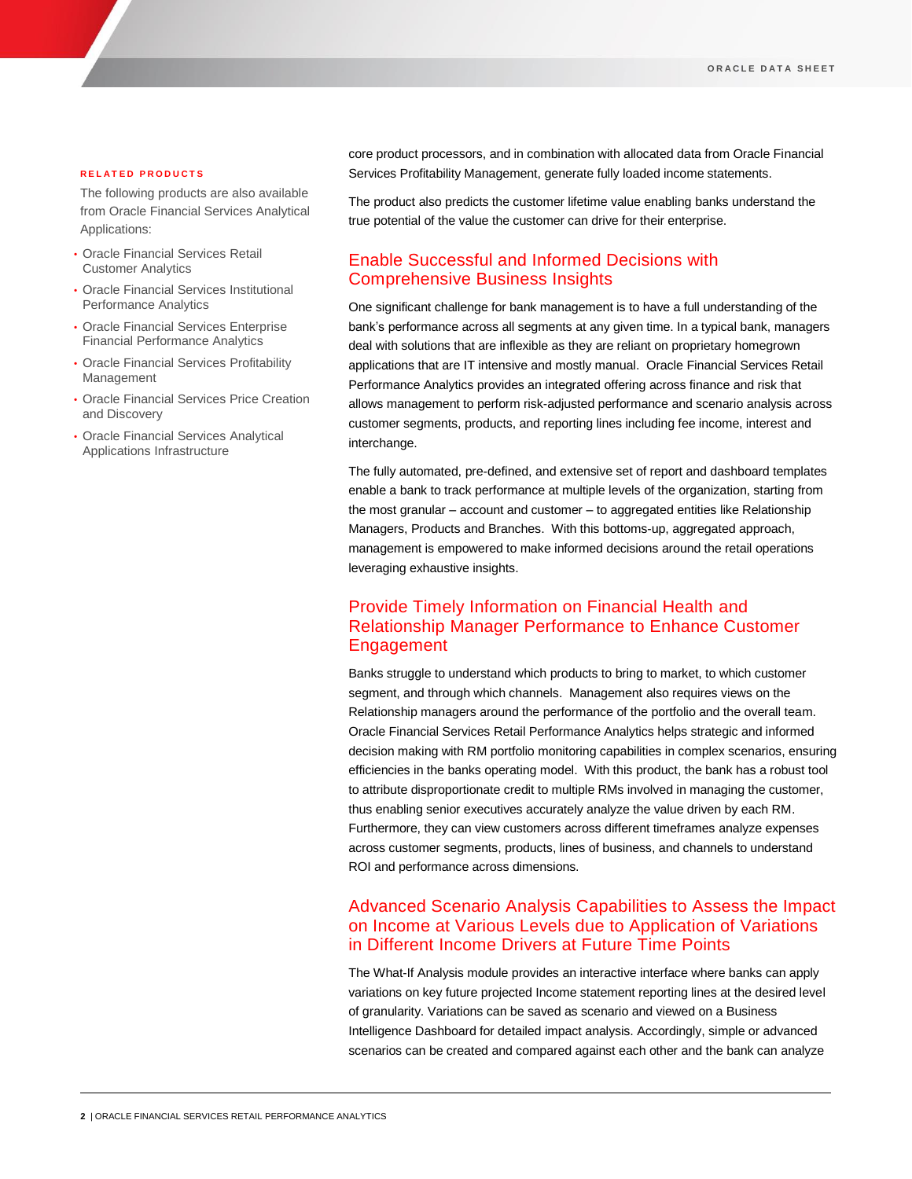#### **R E L A T E D P R O D U C T S**

The following products are also available from Oracle Financial Services Analytical Applications:

- Oracle Financial Services Retail Customer Analytics
- Oracle Financial Services Institutional Performance Analytics
- Oracle Financial Services Enterprise Financial Performance Analytics
- Oracle Financial Services Profitability Management
- Oracle Financial Services Price Creation and Discovery
- Oracle Financial Services Analytical Applications Infrastructure

core product processors, and in combination with allocated data from Oracle Financial Services Profitability Management, generate fully loaded income statements.

The product also predicts the customer lifetime value enabling banks understand the true potential of the value the customer can drive for their enterprise.

## Enable Successful and Informed Decisions with Comprehensive Business Insights

One significant challenge for bank management is to have a full understanding of the bank's performance across all segments at any given time. In a typical bank, managers deal with solutions that are inflexible as they are reliant on proprietary homegrown applications that are IT intensive and mostly manual. Oracle Financial Services Retail Performance Analytics provides an integrated offering across finance and risk that allows management to perform risk-adjusted performance and scenario analysis across customer segments, products, and reporting lines including fee income, interest and interchange.

The fully automated, pre-defined, and extensive set of report and dashboard templates enable a bank to track performance at multiple levels of the organization, starting from the most granular – account and customer – to aggregated entities like Relationship Managers, Products and Branches. With this bottoms-up, aggregated approach, management is empowered to make informed decisions around the retail operations leveraging exhaustive insights.

## Provide Timely Information on Financial Health and Relationship Manager Performance to Enhance Customer Engagement

Banks struggle to understand which products to bring to market, to which customer segment, and through which channels. Management also requires views on the Relationship managers around the performance of the portfolio and the overall team. Oracle Financial Services Retail Performance Analytics helps strategic and informed decision making with RM portfolio monitoring capabilities in complex scenarios, ensuring efficiencies in the banks operating model. With this product, the bank has a robust tool to attribute disproportionate credit to multiple RMs involved in managing the customer, thus enabling senior executives accurately analyze the value driven by each RM. Furthermore, they can view customers across different timeframes analyze expenses across customer segments, products, lines of business, and channels to understand ROI and performance across dimensions.

## Advanced Scenario Analysis Capabilities to Assess the Impact on Income at Various Levels due to Application of Variations in Different Income Drivers at Future Time Points

The What-If Analysis module provides an interactive interface where banks can apply variations on key future projected Income statement reporting lines at the desired level of granularity. Variations can be saved as scenario and viewed on a Business Intelligence Dashboard for detailed impact analysis. Accordingly, simple or advanced scenarios can be created and compared against each other and the bank can analyze